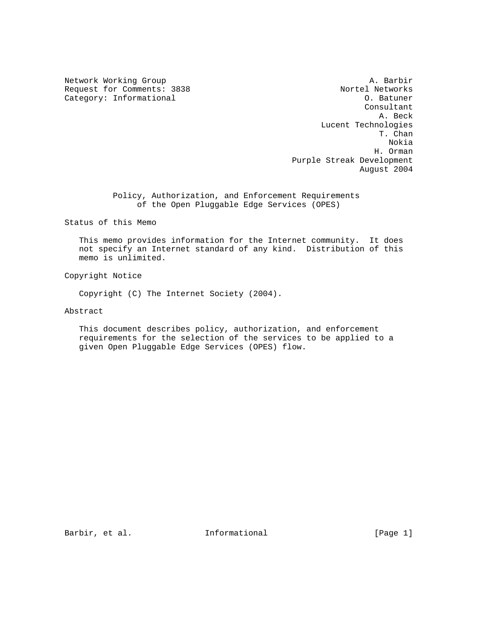Request for Comments: 3838 Nortel Networks<br>
Category: Informational 2008 2009 10: Batuner Category: Informational

Network Working Group and the set of the set of the set of the A. Barbir Consultant A. Beck Lucent Technologies T. Chan Nokia H. Orman Purple Streak Development August 2004

> Policy, Authorization, and Enforcement Requirements of the Open Pluggable Edge Services (OPES)

Status of this Memo

 This memo provides information for the Internet community. It does not specify an Internet standard of any kind. Distribution of this memo is unlimited.

Copyright Notice

Copyright (C) The Internet Society (2004).

Abstract

 This document describes policy, authorization, and enforcement requirements for the selection of the services to be applied to a given Open Pluggable Edge Services (OPES) flow.

Barbir, et al. **Informational** [Page 1]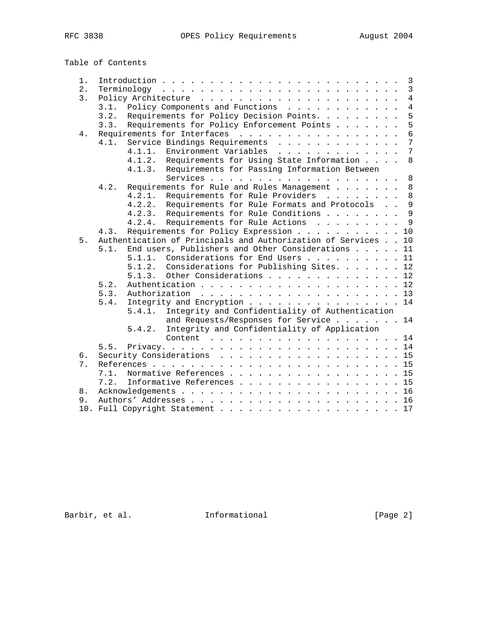Table of Contents

| 1. | $\mathbf{3}$                                                          |  |  |  |  |
|----|-----------------------------------------------------------------------|--|--|--|--|
| 2. | $\overline{3}$                                                        |  |  |  |  |
| 3. | $\overline{4}$                                                        |  |  |  |  |
|    | $\overline{4}$<br>Policy Components and Functions<br>3.1.             |  |  |  |  |
|    | 5<br>Requirements for Policy Decision Points.<br>3.2.                 |  |  |  |  |
|    | 5<br>Requirements for Policy Enforcement Points<br>3.3.               |  |  |  |  |
| 4. | 6<br>Requirements for Interfaces                                      |  |  |  |  |
|    | 7<br>Service Bindings Requirements<br>4.1.                            |  |  |  |  |
|    | 7<br>4.1.1.<br>Environment Variables                                  |  |  |  |  |
|    | 8<br>Requirements for Using State Information<br>4.1.2.               |  |  |  |  |
|    | Requirements for Passing Information Between<br>4.1.3.                |  |  |  |  |
|    | 8                                                                     |  |  |  |  |
|    | Requirements for Rule and Rules Management<br>8<br>4.2.               |  |  |  |  |
|    | 8<br>4.2.1.<br>Requirements for Rule Providers                        |  |  |  |  |
|    | $\mathsf{Q}$<br>Requirements for Rule Formats and Protocols<br>4.2.2. |  |  |  |  |
|    | $\mathsf{Q}$<br>Requirements for Rule Conditions<br>4.2.3.            |  |  |  |  |
|    | $\mathsf{Q}$<br>Requirements for Rule Actions<br>4.2.4.               |  |  |  |  |
|    | Requirements for Policy Expression 10<br>4.3.                         |  |  |  |  |
| 5. | Authentication of Principals and Authorization of Services 10         |  |  |  |  |
|    | End users, Publishers and Other Considerations 11<br>5.1.             |  |  |  |  |
|    | Considerations for End Users 11<br>5.1.1.                             |  |  |  |  |
|    | Considerations for Publishing Sites. 12<br>5.1.2.                     |  |  |  |  |
|    | Other Considerations 12<br>5.1.3.                                     |  |  |  |  |
|    | 5.2.                                                                  |  |  |  |  |
|    | 5.3.                                                                  |  |  |  |  |
|    | Integrity and Encryption 14<br>5.4.                                   |  |  |  |  |
|    | Integrity and Confidentiality of Authentication<br>5.4.1.             |  |  |  |  |
|    | and Requests/Responses for Service 14                                 |  |  |  |  |
|    | Integrity and Confidentiality of Application<br>5.4.2.                |  |  |  |  |
|    |                                                                       |  |  |  |  |
|    | Content $\ldots$ 14                                                   |  |  |  |  |
|    |                                                                       |  |  |  |  |
| б. | Security Considerations 15                                            |  |  |  |  |
| 7. |                                                                       |  |  |  |  |
|    | Normative References 15<br>7.1.                                       |  |  |  |  |
|    | 7.2.<br>Informative References 15                                     |  |  |  |  |
| 8. |                                                                       |  |  |  |  |
| 9. |                                                                       |  |  |  |  |
|    |                                                                       |  |  |  |  |

Barbir, et al. 1nformational [Page 2]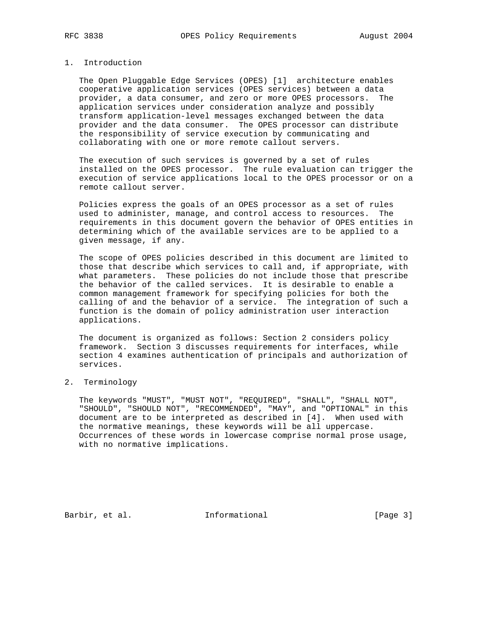## 1. Introduction

 The Open Pluggable Edge Services (OPES) [1] architecture enables cooperative application services (OPES services) between a data provider, a data consumer, and zero or more OPES processors. The application services under consideration analyze and possibly transform application-level messages exchanged between the data provider and the data consumer. The OPES processor can distribute the responsibility of service execution by communicating and collaborating with one or more remote callout servers.

 The execution of such services is governed by a set of rules installed on the OPES processor. The rule evaluation can trigger the execution of service applications local to the OPES processor or on a remote callout server.

 Policies express the goals of an OPES processor as a set of rules used to administer, manage, and control access to resources. The requirements in this document govern the behavior of OPES entities in determining which of the available services are to be applied to a given message, if any.

 The scope of OPES policies described in this document are limited to those that describe which services to call and, if appropriate, with what parameters. These policies do not include those that prescribe the behavior of the called services. It is desirable to enable a common management framework for specifying policies for both the calling of and the behavior of a service. The integration of such a function is the domain of policy administration user interaction applications.

 The document is organized as follows: Section 2 considers policy framework. Section 3 discusses requirements for interfaces, while section 4 examines authentication of principals and authorization of services.

## 2. Terminology

 The keywords "MUST", "MUST NOT", "REQUIRED", "SHALL", "SHALL NOT", "SHOULD", "SHOULD NOT", "RECOMMENDED", "MAY", and "OPTIONAL" in this document are to be interpreted as described in [4]. When used with the normative meanings, these keywords will be all uppercase. Occurrences of these words in lowercase comprise normal prose usage, with no normative implications.

Barbir, et al. 1nformational [Page 3]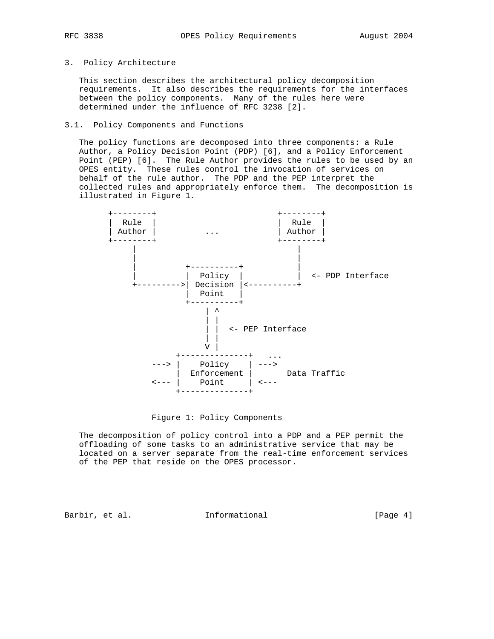## 3. Policy Architecture

 This section describes the architectural policy decomposition requirements. It also describes the requirements for the interfaces between the policy components. Many of the rules here were determined under the influence of RFC 3238 [2].

### 3.1. Policy Components and Functions

 The policy functions are decomposed into three components: a Rule Author, a Policy Decision Point (PDP) [6], and a Policy Enforcement Point (PEP) [6]. The Rule Author provides the rules to be used by an OPES entity. These rules control the invocation of services on behalf of the rule author. The PDP and the PEP interpret the collected rules and appropriately enforce them. The decomposition is illustrated in Figure 1.



Figure 1: Policy Components

 The decomposition of policy control into a PDP and a PEP permit the offloading of some tasks to an administrative service that may be located on a server separate from the real-time enforcement services of the PEP that reside on the OPES processor.

Barbir, et al. 1nformational 1998 [Page 4]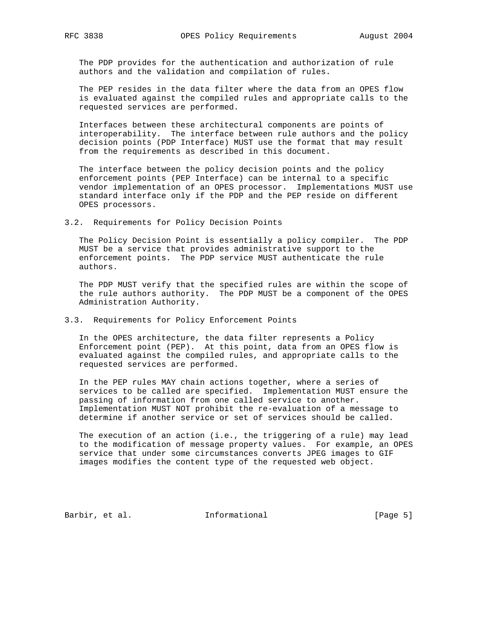The PDP provides for the authentication and authorization of rule authors and the validation and compilation of rules.

 The PEP resides in the data filter where the data from an OPES flow is evaluated against the compiled rules and appropriate calls to the requested services are performed.

 Interfaces between these architectural components are points of interoperability. The interface between rule authors and the policy decision points (PDP Interface) MUST use the format that may result from the requirements as described in this document.

 The interface between the policy decision points and the policy enforcement points (PEP Interface) can be internal to a specific vendor implementation of an OPES processor. Implementations MUST use standard interface only if the PDP and the PEP reside on different OPES processors.

3.2. Requirements for Policy Decision Points

 The Policy Decision Point is essentially a policy compiler. The PDP MUST be a service that provides administrative support to the enforcement points. The PDP service MUST authenticate the rule authors.

 The PDP MUST verify that the specified rules are within the scope of the rule authors authority. The PDP MUST be a component of the OPES Administration Authority.

# 3.3. Requirements for Policy Enforcement Points

 In the OPES architecture, the data filter represents a Policy Enforcement point (PEP). At this point, data from an OPES flow is evaluated against the compiled rules, and appropriate calls to the requested services are performed.

 In the PEP rules MAY chain actions together, where a series of services to be called are specified. Implementation MUST ensure the passing of information from one called service to another. Implementation MUST NOT prohibit the re-evaluation of a message to determine if another service or set of services should be called.

 The execution of an action (i.e., the triggering of a rule) may lead to the modification of message property values. For example, an OPES service that under some circumstances converts JPEG images to GIF images modifies the content type of the requested web object.

Barbir, et al. 1nformational [Page 5]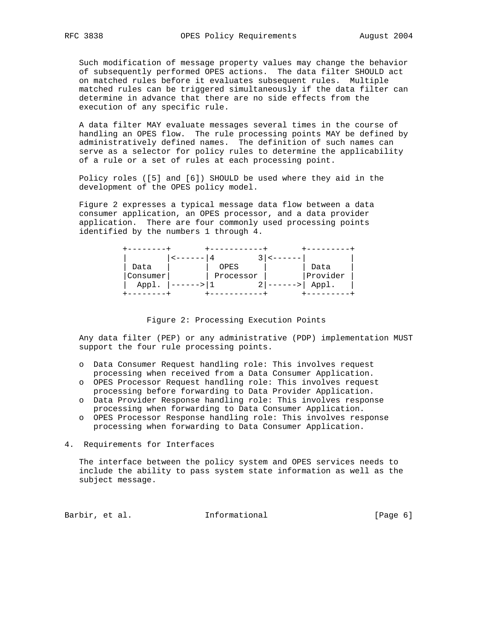Such modification of message property values may change the behavior of subsequently performed OPES actions. The data filter SHOULD act on matched rules before it evaluates subsequent rules. Multiple matched rules can be triggered simultaneously if the data filter can determine in advance that there are no side effects from the execution of any specific rule.

 A data filter MAY evaluate messages several times in the course of handling an OPES flow. The rule processing points MAY be defined by administratively defined names. The definition of such names can serve as a selector for policy rules to determine the applicability of a rule or a set of rules at each processing point.

 Policy roles ([5] and [6]) SHOULD be used where they aid in the development of the OPES policy model.

 Figure 2 expresses a typical message data flow between a data consumer application, an OPES processor, and a data provider application. There are four commonly used processing points identified by the numbers 1 through 4.

| Data     | OPES      | Data     |
|----------|-----------|----------|
| Consumer | Processor | Provider |
| Appl.    | ⌒<br>4    | Appl.    |
|          |           |          |

Figure 2: Processing Execution Points

 Any data filter (PEP) or any administrative (PDP) implementation MUST support the four rule processing points.

- o Data Consumer Request handling role: This involves request processing when received from a Data Consumer Application.
- o OPES Processor Request handling role: This involves request processing before forwarding to Data Provider Application.
- o Data Provider Response handling role: This involves response processing when forwarding to Data Consumer Application.
- o OPES Processor Response handling role: This involves response processing when forwarding to Data Consumer Application.
- 4. Requirements for Interfaces

 The interface between the policy system and OPES services needs to include the ability to pass system state information as well as the subject message.

Barbir, et al. 1nformational 1999 [Page 6]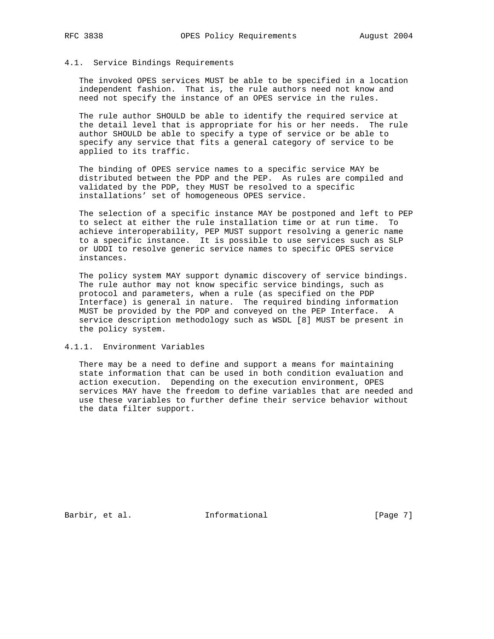## 4.1. Service Bindings Requirements

 The invoked OPES services MUST be able to be specified in a location independent fashion. That is, the rule authors need not know and need not specify the instance of an OPES service in the rules.

 The rule author SHOULD be able to identify the required service at the detail level that is appropriate for his or her needs. The rule author SHOULD be able to specify a type of service or be able to specify any service that fits a general category of service to be applied to its traffic.

 The binding of OPES service names to a specific service MAY be distributed between the PDP and the PEP. As rules are compiled and validated by the PDP, they MUST be resolved to a specific installations' set of homogeneous OPES service.

 The selection of a specific instance MAY be postponed and left to PEP to select at either the rule installation time or at run time. To achieve interoperability, PEP MUST support resolving a generic name to a specific instance. It is possible to use services such as SLP or UDDI to resolve generic service names to specific OPES service instances.

 The policy system MAY support dynamic discovery of service bindings. The rule author may not know specific service bindings, such as protocol and parameters, when a rule (as specified on the PDP Interface) is general in nature. The required binding information MUST be provided by the PDP and conveyed on the PEP Interface. A service description methodology such as WSDL [8] MUST be present in the policy system.

## 4.1.1. Environment Variables

 There may be a need to define and support a means for maintaining state information that can be used in both condition evaluation and action execution. Depending on the execution environment, OPES services MAY have the freedom to define variables that are needed and use these variables to further define their service behavior without the data filter support.

Barbir, et al. 1nformational 1999 [Page 7]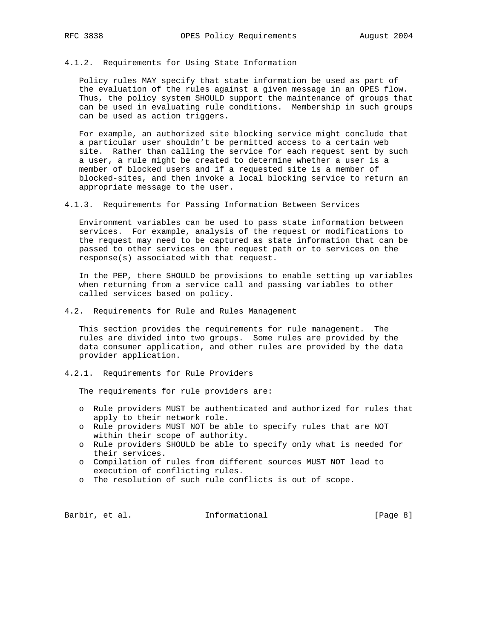### 4.1.2. Requirements for Using State Information

 Policy rules MAY specify that state information be used as part of the evaluation of the rules against a given message in an OPES flow. Thus, the policy system SHOULD support the maintenance of groups that can be used in evaluating rule conditions. Membership in such groups can be used as action triggers.

 For example, an authorized site blocking service might conclude that a particular user shouldn't be permitted access to a certain web site. Rather than calling the service for each request sent by such a user, a rule might be created to determine whether a user is a member of blocked users and if a requested site is a member of blocked-sites, and then invoke a local blocking service to return an appropriate message to the user.

4.1.3. Requirements for Passing Information Between Services

 Environment variables can be used to pass state information between services. For example, analysis of the request or modifications to the request may need to be captured as state information that can be passed to other services on the request path or to services on the response(s) associated with that request.

 In the PEP, there SHOULD be provisions to enable setting up variables when returning from a service call and passing variables to other called services based on policy.

4.2. Requirements for Rule and Rules Management

 This section provides the requirements for rule management. The rules are divided into two groups. Some rules are provided by the data consumer application, and other rules are provided by the data provider application.

4.2.1. Requirements for Rule Providers

The requirements for rule providers are:

- o Rule providers MUST be authenticated and authorized for rules that apply to their network role.
- o Rule providers MUST NOT be able to specify rules that are NOT within their scope of authority.
- o Rule providers SHOULD be able to specify only what is needed for their services.
- o Compilation of rules from different sources MUST NOT lead to execution of conflicting rules.
- o The resolution of such rule conflicts is out of scope.

Barbir, et al. 1nformational [Page 8]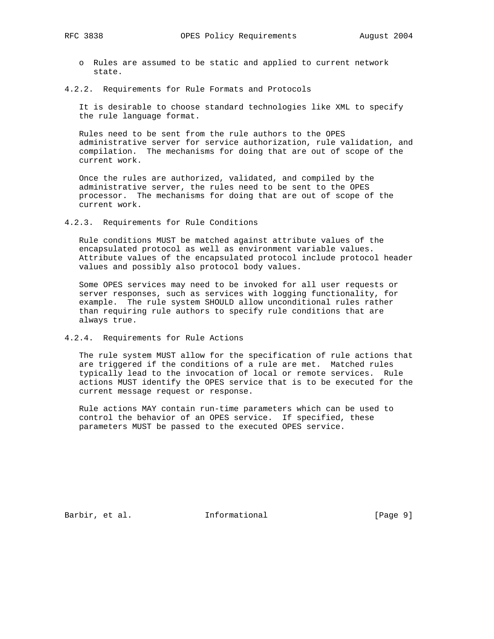- o Rules are assumed to be static and applied to current network state.
- 4.2.2. Requirements for Rule Formats and Protocols

 It is desirable to choose standard technologies like XML to specify the rule language format.

 Rules need to be sent from the rule authors to the OPES administrative server for service authorization, rule validation, and compilation. The mechanisms for doing that are out of scope of the current work.

 Once the rules are authorized, validated, and compiled by the administrative server, the rules need to be sent to the OPES processor. The mechanisms for doing that are out of scope of the current work.

4.2.3. Requirements for Rule Conditions

 Rule conditions MUST be matched against attribute values of the encapsulated protocol as well as environment variable values. Attribute values of the encapsulated protocol include protocol header values and possibly also protocol body values.

 Some OPES services may need to be invoked for all user requests or server responses, such as services with logging functionality, for example. The rule system SHOULD allow unconditional rules rather than requiring rule authors to specify rule conditions that are always true.

4.2.4. Requirements for Rule Actions

 The rule system MUST allow for the specification of rule actions that are triggered if the conditions of a rule are met. Matched rules typically lead to the invocation of local or remote services. Rule actions MUST identify the OPES service that is to be executed for the current message request or response.

 Rule actions MAY contain run-time parameters which can be used to control the behavior of an OPES service. If specified, these parameters MUST be passed to the executed OPES service.

Barbir, et al. 1nformational [Page 9]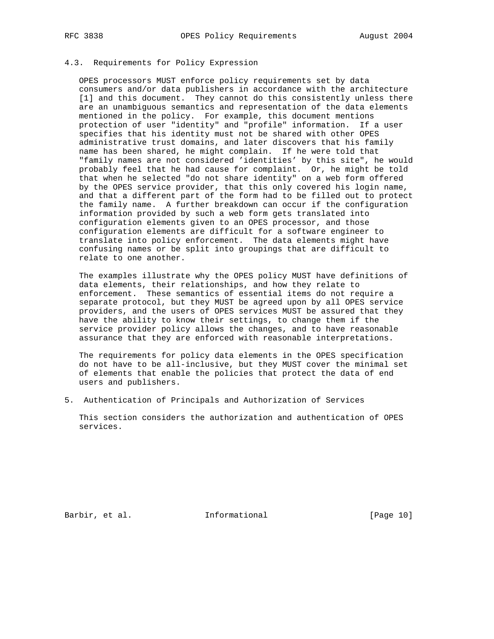# 4.3. Requirements for Policy Expression

 OPES processors MUST enforce policy requirements set by data consumers and/or data publishers in accordance with the architecture [1] and this document. They cannot do this consistently unless there are an unambiguous semantics and representation of the data elements mentioned in the policy. For example, this document mentions protection of user "identity" and "profile" information. If a user specifies that his identity must not be shared with other OPES administrative trust domains, and later discovers that his family name has been shared, he might complain. If he were told that "family names are not considered 'identities' by this site", he would probably feel that he had cause for complaint. Or, he might be told that when he selected "do not share identity" on a web form offered by the OPES service provider, that this only covered his login name, and that a different part of the form had to be filled out to protect the family name. A further breakdown can occur if the configuration information provided by such a web form gets translated into configuration elements given to an OPES processor, and those configuration elements are difficult for a software engineer to translate into policy enforcement. The data elements might have confusing names or be split into groupings that are difficult to relate to one another.

 The examples illustrate why the OPES policy MUST have definitions of data elements, their relationships, and how they relate to enforcement. These semantics of essential items do not require a separate protocol, but they MUST be agreed upon by all OPES service providers, and the users of OPES services MUST be assured that they have the ability to know their settings, to change them if the service provider policy allows the changes, and to have reasonable assurance that they are enforced with reasonable interpretations.

 The requirements for policy data elements in the OPES specification do not have to be all-inclusive, but they MUST cover the minimal set of elements that enable the policies that protect the data of end users and publishers.

5. Authentication of Principals and Authorization of Services

 This section considers the authorization and authentication of OPES services.

Barbir, et al. **Informational** [Page 10]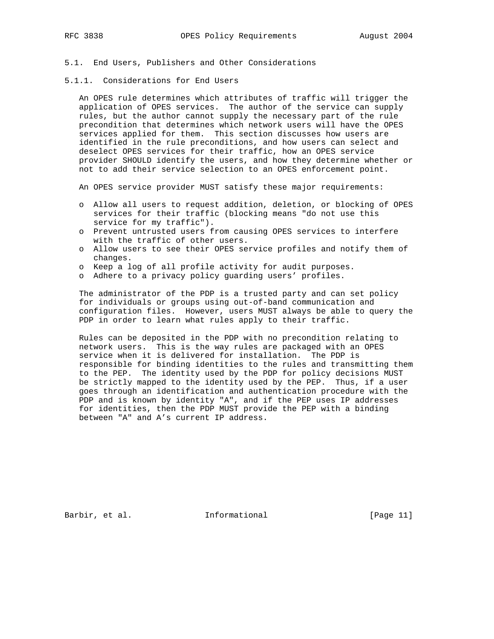### 5.1. End Users, Publishers and Other Considerations

5.1.1. Considerations for End Users

 An OPES rule determines which attributes of traffic will trigger the application of OPES services. The author of the service can supply rules, but the author cannot supply the necessary part of the rule precondition that determines which network users will have the OPES services applied for them. This section discusses how users are identified in the rule preconditions, and how users can select and deselect OPES services for their traffic, how an OPES service provider SHOULD identify the users, and how they determine whether or not to add their service selection to an OPES enforcement point.

An OPES service provider MUST satisfy these major requirements:

- o Allow all users to request addition, deletion, or blocking of OPES services for their traffic (blocking means "do not use this service for my traffic").
- o Prevent untrusted users from causing OPES services to interfere with the traffic of other users.
- o Allow users to see their OPES service profiles and notify them of changes.
- o Keep a log of all profile activity for audit purposes.
- o Adhere to a privacy policy guarding users' profiles.

 The administrator of the PDP is a trusted party and can set policy for individuals or groups using out-of-band communication and configuration files. However, users MUST always be able to query the PDP in order to learn what rules apply to their traffic.

 Rules can be deposited in the PDP with no precondition relating to network users. This is the way rules are packaged with an OPES service when it is delivered for installation. The PDP is responsible for binding identities to the rules and transmitting them to the PEP. The identity used by the PDP for policy decisions MUST be strictly mapped to the identity used by the PEP. Thus, if a user goes through an identification and authentication procedure with the PDP and is known by identity "A", and if the PEP uses IP addresses for identities, then the PDP MUST provide the PEP with a binding between "A" and A's current IP address.

Barbir, et al. 1nformational [Page 11]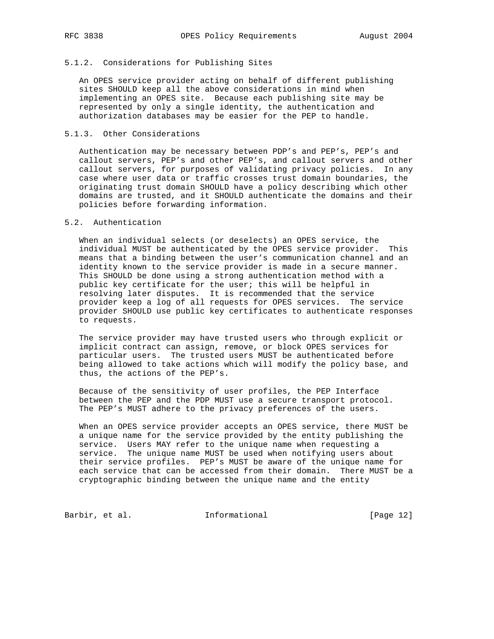# 5.1.2. Considerations for Publishing Sites

 An OPES service provider acting on behalf of different publishing sites SHOULD keep all the above considerations in mind when implementing an OPES site. Because each publishing site may be represented by only a single identity, the authentication and authorization databases may be easier for the PEP to handle.

## 5.1.3. Other Considerations

 Authentication may be necessary between PDP's and PEP's, PEP's and callout servers, PEP's and other PEP's, and callout servers and other callout servers, for purposes of validating privacy policies. In any case where user data or traffic crosses trust domain boundaries, the originating trust domain SHOULD have a policy describing which other domains are trusted, and it SHOULD authenticate the domains and their policies before forwarding information.

### 5.2. Authentication

 When an individual selects (or deselects) an OPES service, the individual MUST be authenticated by the OPES service provider. This means that a binding between the user's communication channel and an identity known to the service provider is made in a secure manner. This SHOULD be done using a strong authentication method with a public key certificate for the user; this will be helpful in resolving later disputes. It is recommended that the service provider keep a log of all requests for OPES services. The service provider SHOULD use public key certificates to authenticate responses to requests.

 The service provider may have trusted users who through explicit or implicit contract can assign, remove, or block OPES services for particular users. The trusted users MUST be authenticated before being allowed to take actions which will modify the policy base, and thus, the actions of the PEP's.

 Because of the sensitivity of user profiles, the PEP Interface between the PEP and the PDP MUST use a secure transport protocol. The PEP's MUST adhere to the privacy preferences of the users.

 When an OPES service provider accepts an OPES service, there MUST be a unique name for the service provided by the entity publishing the service. Users MAY refer to the unique name when requesting a service. The unique name MUST be used when notifying users about their service profiles. PEP's MUST be aware of the unique name for each service that can be accessed from their domain. There MUST be a cryptographic binding between the unique name and the entity

Barbir, et al. 1nformational 1999 [Page 12]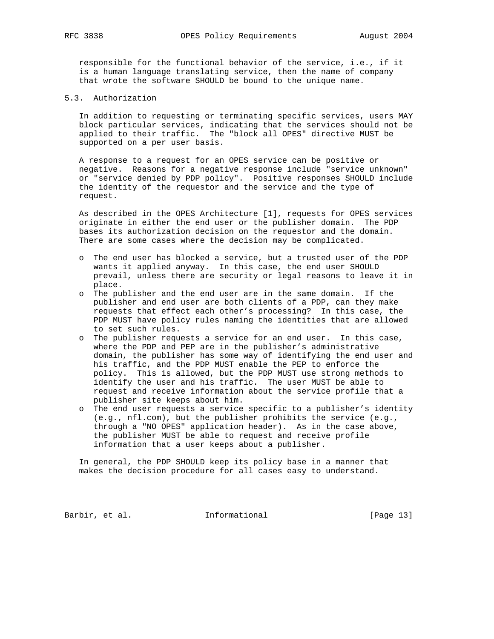responsible for the functional behavior of the service, i.e., if it is a human language translating service, then the name of company that wrote the software SHOULD be bound to the unique name.

5.3. Authorization

 In addition to requesting or terminating specific services, users MAY block particular services, indicating that the services should not be applied to their traffic. The "block all OPES" directive MUST be supported on a per user basis.

 A response to a request for an OPES service can be positive or negative. Reasons for a negative response include "service unknown" or "service denied by PDP policy". Positive responses SHOULD include the identity of the requestor and the service and the type of request.

 As described in the OPES Architecture [1], requests for OPES services originate in either the end user or the publisher domain. The PDP bases its authorization decision on the requestor and the domain. There are some cases where the decision may be complicated.

- o The end user has blocked a service, but a trusted user of the PDP wants it applied anyway. In this case, the end user SHOULD prevail, unless there are security or legal reasons to leave it in place.
- o The publisher and the end user are in the same domain. If the publisher and end user are both clients of a PDP, can they make requests that effect each other's processing? In this case, the PDP MUST have policy rules naming the identities that are allowed to set such rules.
- o The publisher requests a service for an end user. In this case, where the PDP and PEP are in the publisher's administrative domain, the publisher has some way of identifying the end user and his traffic, and the PDP MUST enable the PEP to enforce the policy. This is allowed, but the PDP MUST use strong methods to identify the user and his traffic. The user MUST be able to request and receive information about the service profile that a publisher site keeps about him.
- o The end user requests a service specific to a publisher's identity (e.g., nfl.com), but the publisher prohibits the service (e.g., through a "NO OPES" application header). As in the case above, the publisher MUST be able to request and receive profile information that a user keeps about a publisher.

 In general, the PDP SHOULD keep its policy base in a manner that makes the decision procedure for all cases easy to understand.

Barbir, et al. 1nformational [Page 13]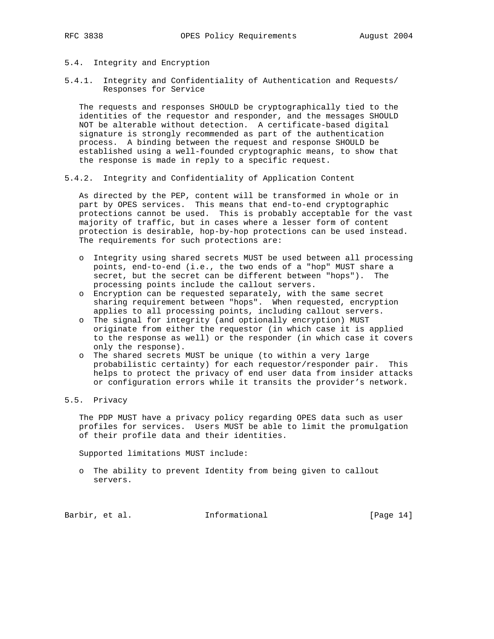# 5.4. Integrity and Encryption

5.4.1. Integrity and Confidentiality of Authentication and Requests/ Responses for Service

 The requests and responses SHOULD be cryptographically tied to the identities of the requestor and responder, and the messages SHOULD NOT be alterable without detection. A certificate-based digital signature is strongly recommended as part of the authentication process. A binding between the request and response SHOULD be established using a well-founded cryptographic means, to show that the response is made in reply to a specific request.

5.4.2. Integrity and Confidentiality of Application Content

 As directed by the PEP, content will be transformed in whole or in part by OPES services. This means that end-to-end cryptographic protections cannot be used. This is probably acceptable for the vast majority of traffic, but in cases where a lesser form of content protection is desirable, hop-by-hop protections can be used instead. The requirements for such protections are:

- o Integrity using shared secrets MUST be used between all processing points, end-to-end (i.e., the two ends of a "hop" MUST share a secret, but the secret can be different between "hops"). The processing points include the callout servers.
- o Encryption can be requested separately, with the same secret sharing requirement between "hops". When requested, encryption applies to all processing points, including callout servers.
- o The signal for integrity (and optionally encryption) MUST originate from either the requestor (in which case it is applied to the response as well) or the responder (in which case it covers only the response).
- o The shared secrets MUST be unique (to within a very large probabilistic certainty) for each requestor/responder pair. This helps to protect the privacy of end user data from insider attacks or configuration errors while it transits the provider's network.

# 5.5. Privacy

 The PDP MUST have a privacy policy regarding OPES data such as user profiles for services. Users MUST be able to limit the promulgation of their profile data and their identities.

Supported limitations MUST include:

 o The ability to prevent Identity from being given to callout servers.

Barbir, et al. 1nformational [Page 14]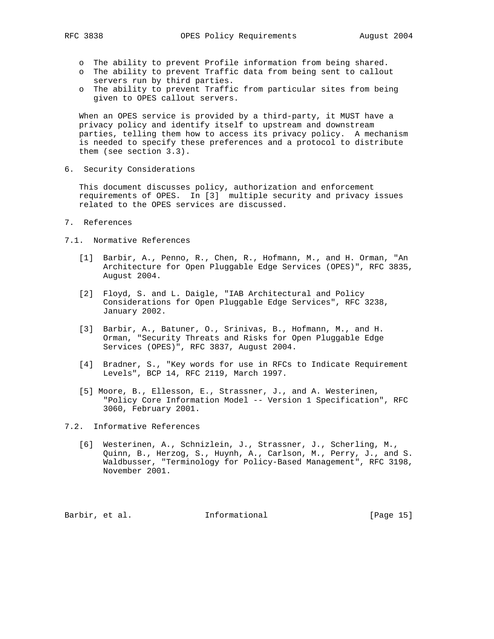- o The ability to prevent Profile information from being shared.
- o The ability to prevent Traffic data from being sent to callout servers run by third parties.
- o The ability to prevent Traffic from particular sites from being given to OPES callout servers.

 When an OPES service is provided by a third-party, it MUST have a privacy policy and identify itself to upstream and downstream parties, telling them how to access its privacy policy. A mechanism is needed to specify these preferences and a protocol to distribute them (see section 3.3).

6. Security Considerations

 This document discusses policy, authorization and enforcement requirements of OPES. In [3] multiple security and privacy issues related to the OPES services are discussed.

- 7. References
- 7.1. Normative References
	- [1] Barbir, A., Penno, R., Chen, R., Hofmann, M., and H. Orman, "An Architecture for Open Pluggable Edge Services (OPES)", RFC 3835, August 2004.
	- [2] Floyd, S. and L. Daigle, "IAB Architectural and Policy Considerations for Open Pluggable Edge Services", RFC 3238, January 2002.
	- [3] Barbir, A., Batuner, O., Srinivas, B., Hofmann, M., and H. Orman, "Security Threats and Risks for Open Pluggable Edge Services (OPES)", RFC 3837, August 2004.
	- [4] Bradner, S., "Key words for use in RFCs to Indicate Requirement Levels", BCP 14, RFC 2119, March 1997.
	- [5] Moore, B., Ellesson, E., Strassner, J., and A. Westerinen, "Policy Core Information Model -- Version 1 Specification", RFC 3060, February 2001.

7.2. Informative References

 [6] Westerinen, A., Schnizlein, J., Strassner, J., Scherling, M., Quinn, B., Herzog, S., Huynh, A., Carlson, M., Perry, J., and S. Waldbusser, "Terminology for Policy-Based Management", RFC 3198, November 2001.

Barbir, et al. **Informational** [Page 15]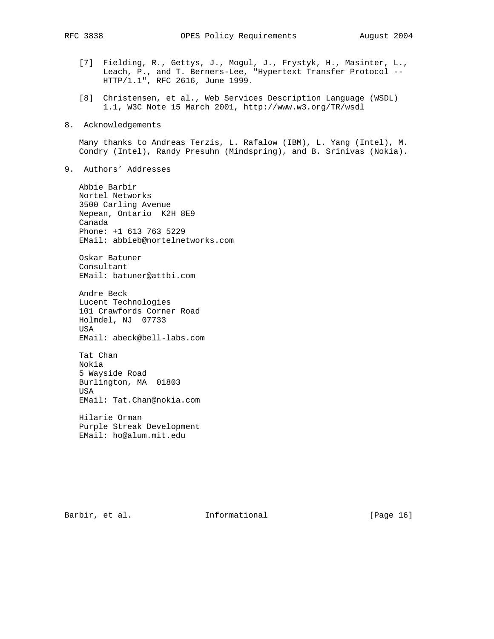- [7] Fielding, R., Gettys, J., Mogul, J., Frystyk, H., Masinter, L., Leach, P., and T. Berners-Lee, "Hypertext Transfer Protocol -- HTTP/1.1", RFC 2616, June 1999.
- [8] Christensen, et al., Web Services Description Language (WSDL) 1.1, W3C Note 15 March 2001, http://www.w3.org/TR/wsdl
- 8. Acknowledgements

 Many thanks to Andreas Terzis, L. Rafalow (IBM), L. Yang (Intel), M. Condry (Intel), Randy Presuhn (Mindspring), and B. Srinivas (Nokia).

9. Authors' Addresses

 Abbie Barbir Nortel Networks 3500 Carling Avenue Nepean, Ontario K2H 8E9 Canada Phone: +1 613 763 5229 EMail: abbieb@nortelnetworks.com

 Oskar Batuner Consultant EMail: batuner@attbi.com

 Andre Beck Lucent Technologies 101 Crawfords Corner Road Holmdel, NJ 07733 USA EMail: abeck@bell-labs.com

 Tat Chan Nokia 5 Wayside Road Burlington, MA 01803 USA EMail: Tat.Chan@nokia.com

 Hilarie Orman Purple Streak Development EMail: ho@alum.mit.edu

Barbir, et al. 1nformational [Page 16]